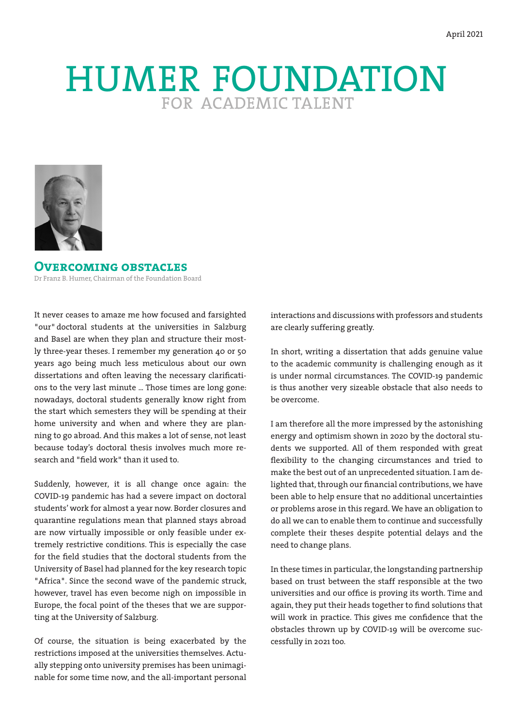# HUMER FOUNDATION



**Overcoming obstacles** Dr Franz B. Humer, Chairman of the Foundation Board

It never ceases to amaze me how focused and farsighted "our" doctoral students at the universities in Salzburg and Basel are when they plan and structure their mostly three-year theses. I remember my generation 40 or 50 years ago being much less meticulous about our own dissertations and often leaving the necessary clarifications to the very last minute ... Those times are long gone: nowadays, doctoral students generally know right from the start which semesters they will be spending at their home university and when and where they are planning to go abroad. And this makes a lot of sense, not least because today's doctoral thesis involves much more research and "field work" than it used to.

Suddenly, however, it is all change once again: the COVID-19 pandemic has had a severe impact on doctoral students' work for almost a year now. Border closures and quarantine regulations mean that planned stays abroad are now virtually impossible or only feasible under extremely restrictive conditions. This is especially the case for the field studies that the doctoral students from the University of Basel had planned for the key research topic "Africa". Since the second wave of the pandemic struck, however, travel has even become nigh on impossible in Europe, the focal point of the theses that we are supporting at the University of Salzburg.

Of course, the situation is being exacerbated by the restrictions imposed at the universities themselves. Actually stepping onto university premises has been unimaginable for some time now, and the all-important personal

interactions and discussions with professors and students are clearly suffering greatly.

In short, writing a dissertation that adds genuine value to the academic community is challenging enough as it is under normal circumstances. The COVID-19 pandemic is thus another very sizeable obstacle that also needs to be overcome.

I am therefore all the more impressed by the astonishing energy and optimism shown in 2020 by the doctoral students we supported. All of them responded with great flexibility to the changing circumstances and tried to make the best out of an unprecedented situation. I am delighted that, through our financial contributions, we have been able to help ensure that no additional uncertainties or problems arose in this regard. We have an obligation to do all we can to enable them to continue and successfully complete their theses despite potential delays and the need to change plans.

In these times in particular, the longstanding partnership based on trust between the staff responsible at the two universities and our office is proving its worth. Time and again, they put their heads together to find solutions that will work in practice. This gives me confidence that the obstacles thrown up by COVID-19 will be overcome successfully in 2021 too.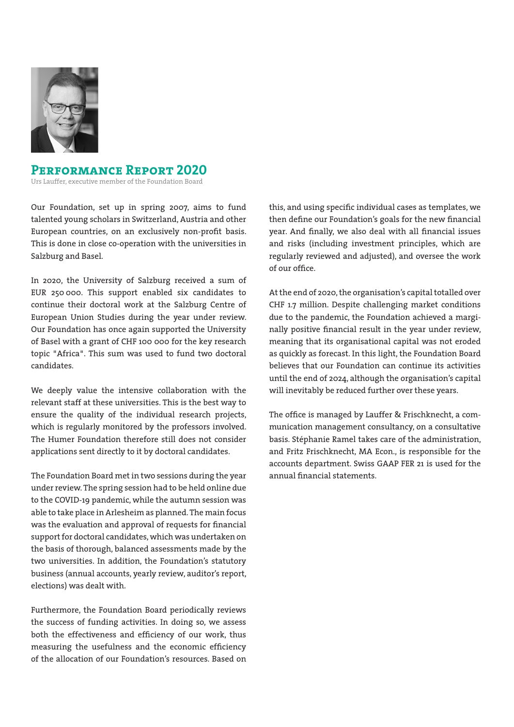

## **Performance Report 2020**

Urs Lauffer, executive member of the Foundation Board

Our Foundation, set up in spring 2007, aims to fund talented young scholars in Switzerland, Austria and other European countries, on an exclusively non-profit basis. This is done in close co-operation with the universities in Salzburg and Basel.

In 2020, the University of Salzburg received a sum of EUR 250 000. This support enabled six candidates to continue their doctoral work at the Salzburg Centre of European Union Studies during the year under review. Our Foundation has once again supported the University of Basel with a grant of CHF 100 000 for the key research topic "Africa". This sum was used to fund two doctoral candidates.

We deeply value the intensive collaboration with the relevant staff at these universities. This is the best way to ensure the quality of the individual research projects, which is regularly monitored by the professors involved. The Humer Foundation therefore still does not consider applications sent directly to it by doctoral candidates.

The Foundation Board met in two sessions during the year under review. The spring session had to be held online due to the COVID-19 pandemic, while the autumn session was able to take place in Arlesheim as planned. The main focus was the evaluation and approval of requests for financial support for doctoral candidates, which was undertaken on the basis of thorough, balanced assessments made by the two universities. In addition, the Foundation's statutory business (annual accounts, yearly review, auditor's report, elections) was dealt with.

Furthermore, the Foundation Board periodically reviews the success of funding activities. In doing so, we assess both the effectiveness and efficiency of our work, thus measuring the usefulness and the economic efficiency of the allocation of our Foundation's resources. Based on this, and using specific individual cases as templates, we then define our Foundation's goals for the new financial year. And finally, we also deal with all financial issues and risks (including investment principles, which are regularly reviewed and adjusted), and oversee the work of our office.

At the end of 2020, the organisation's capital totalled over CHF 1.7 million. Despite challenging market conditions due to the pandemic, the Foundation achieved a marginally positive financial result in the year under review, meaning that its organisational capital was not eroded as quickly as forecast. In this light, the Foundation Board believes that our Foundation can continue its activities until the end of 2024, although the organisation's capital will inevitably be reduced further over these years.

The office is managed by Lauffer & Frischknecht, a communication management consultancy, on a consultative basis. Stéphanie Ramel takes care of the administration, and Fritz Frischknecht, MA Econ., is responsible for the accounts department. Swiss GAAP FER 21 is used for the annual financial statements.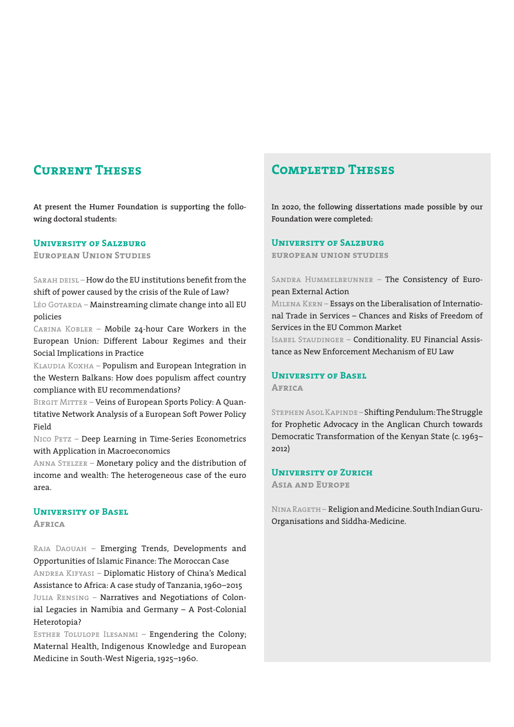# **Current Theses**

**At present the Humer Foundation is supporting the following doctoral students:**

#### **UNIVERSITY OF SALZBURG**

**European Union Studies**

SARAH DEISL – How do the EU institutions benefit from the shift of power caused by the crisis of the Rule of Law?

LÉO GOTARDA – Mainstreaming climate change into all EU policies

Carina Kobler – Mobile 24-hour Care Workers in the European Union: Different Labour Regimes and their Social Implications in Practice

KLAUDIA KOXHA – Populism and European Integration in the Western Balkans: How does populism affect country compliance with EU recommendations?

BIRGIT MITTER – Veins of European Sports Policy: A Quantitative Network Analysis of a European Soft Power Policy Field

NICO PETZ - Deep Learning in Time-Series Econometrics with Application in Macroeconomics

ANNA STELZER - Monetary policy and the distribution of income and wealth: The heterogeneous case of the euro area.

#### **University of Basel**

**Africa**

Raja Daouah – Emerging Trends, Developments and Opportunities of Islamic Finance: The Moroccan Case Andrea Kifyasi – Diplomatic History of China's Medical Assistance to Africa: A case study of Tanzania, 1960–2015 JULIA RENSING - Narratives and Negotiations of Colonial Legacies in Namibia and Germany – A Post-Colonial Heterotopia?

Esther Tolulope Ilesanmi – Engendering the Colony; Maternal Health, Indigenous Knowledge and European Medicine in South-West Nigeria, 1925–1960.

# **Completed Theses**

**In 2020, the following dissertations made possible by our Foundation were completed:**

#### **University of Salzburg**

**european union studies**

Sandra Hummelbrunner – The Consistency of European External Action

Milena Kern – Essays on the Liberalisation of International Trade in Services – Chances and Risks of Freedom of Services in the EU Common Market

Isabel Staudinger – Conditionality. EU Financial Assistance as New Enforcement Mechanism of EU Law

# **University of Basel**

**Africa**

Stephen Asol Kapinde – Shifting Pendulum: The Struggle for Prophetic Advocacy in the Anglican Church towards Democratic Transformation of the Kenyan State (c. 1963– 2012)

## **University of Zurich**

**Asia and Europe**

Nina Rageth– Religion and Medicine. South Indian Guru-Organisations and Siddha-Medicine.